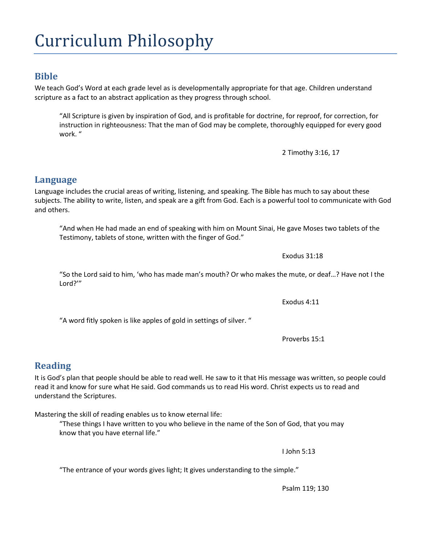## Curriculum Philosophy

#### **Bible**

We teach God's Word at each grade level as is developmentally appropriate for that age. Children understand scripture as a fact to an abstract application as they progress through school.

"All Scripture is given by inspiration of God, and is profitable for doctrine, for reproof, for correction, for instruction in righteousness: That the man of God may be complete, thoroughly equipped for every good work. "

2 Timothy 3:16, 17

Language includes the crucial areas of writing, listening, and speaking. The Bible has much to say about these subjects. The ability to write, listen, and speak are a gift from God. Each is a powerful tool to communicate with God and others.

"And when He had made an end of speaking with him on Mount Sinai, He gave Moses two tablets of the Testimony, tablets of stone, written with the finger of God."

"So the Lord said to him, 'who has made man's mouth? Or who makes the mute, or deaf…? Have not I the Lord?'"

"A word fitly spoken is like apples of gold in settings of silver. "

Proverbs 15:1

### **Reading**

It is God's plan that people should be able to read well. He saw to it that His message was written, so people could read it and know for sure what He said. God commands us to read His word. Christ expects us to read and understand the Scriptures.

Mastering the skill of reading enables us to know eternal life:

"These things I have written to you who believe in the name of the Son of God, that you may know that you have eternal life."

I John 5:13

"The entrance of your words gives light; It gives understanding to the simple."

# **Language**

Exodus 4:11

Exodus 31:18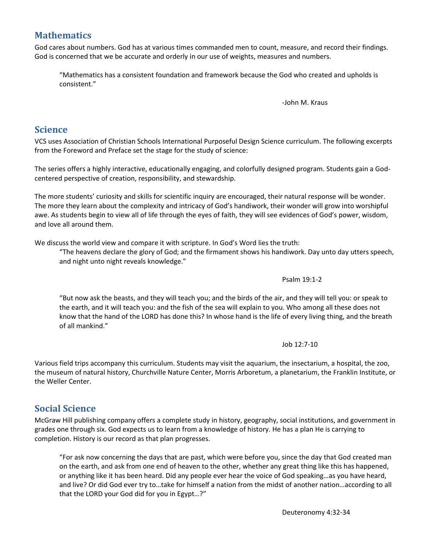#### **Mathematics**

God cares about numbers. God has at various times commanded men to count, measure, and record their findings. God is concerned that we be accurate and orderly in our use of weights, measures and numbers.

"Mathematics has a consistent foundation and framework because the God who created and upholds is consistent."

-John M. Kraus

## **Science**

VCS uses Association of Christian Schools International Purposeful Design Science curriculum. The following excerpts from the Foreword and Preface set the stage for the study of science:

The series offers a highly interactive, educationally engaging, and colorfully designed program. Students gain a Godcentered perspective of creation, responsibility, and stewardship.

The more students' curiosity and skills for scientific inquiry are encouraged, their natural response will be wonder. The more they learn about the complexity and intricacy of God's handiwork, their wonder will grow into worshipful awe. As students begin to view all of life through the eyes of faith, they will see evidences of God's power, wisdom, and love all around them.

We discuss the world view and compare it with scripture. In God's Word lies the truth:

"The heavens declare the glory of God; and the firmament shows his handiwork. Day unto day utters speech, and night unto night reveals knowledge."

Psalm 19:1-2

"But now ask the beasts, and they will teach you; and the birds of the air, and they will tell you: or speak to the earth, and it will teach you: and the fish of the sea will explain to you. Who among all these does not know that the hand of the LORD has done this? In whose hand is the life of every living thing, and the breath of all mankind."

Job 12:7-10

Various field trips accompany this curriculum. Students may visit the aquarium, the insectarium, a hospital, the zoo, the museum of natural history, Churchville Nature Center, Morris Arboretum, a planetarium, the Franklin Institute, or the Weller Center.

## **Social Science**

McGraw Hill publishing company offers a complete study in history, geography, social institutions, and government in grades one through six. God expects us to learn from a knowledge of history. He has a plan He is carrying to completion. History is our record as that plan progresses.

"For ask now concerning the days that are past, which were before you, since the day that God created man on the earth, and ask from one end of heaven to the other, whether any great thing like this has happened, or anything like it has been heard. Did any people ever hear the voice of God speaking…as you have heard, and live? Or did God ever try to…take for himself a nation from the midst of another nation…according to all that the LORD your God did for you in Egypt…?"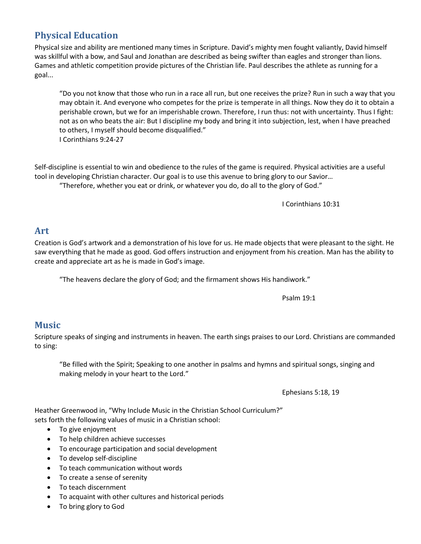## **Physical Education**

Physical size and ability are mentioned many times in Scripture. David's mighty men fought valiantly, David himself was skillful with a bow, and Saul and Jonathan are described as being swifter than eagles and stronger than lions. Games and athletic competition provide pictures of the Christian life. Paul describes the athlete as running for a goal...

"Do you not know that those who run in a race all run, but one receives the prize? Run in such a way that you may obtain it. And everyone who competes for the prize is temperate in all things. Now they do it to obtain a perishable crown, but we for an imperishable crown. Therefore, I run thus: not with uncertainty. Thus I fight: not as on who beats the air: But I discipline my body and bring it into subjection, lest, when I have preached to others, I myself should become disqualified." I Corinthians 9:24-27

Self-discipline is essential to win and obedience to the rules of the game is required. Physical activities are a useful tool in developing Christian character. Our goal is to use this avenue to bring glory to our Savior… "Therefore, whether you eat or drink, or whatever you do, do all to the glory of God."

I Corinthians 10:31

#### **Art**

Creation is God's artwork and a demonstration of his love for us. He made objects that were pleasant to the sight. He saw everything that he made as good. God offers instruction and enjoyment from his creation. Man has the ability to create and appreciate art as he is made in God's image.

"The heavens declare the glory of God; and the firmament shows His handiwork."

Psalm 19:1

### **Music**

Scripture speaks of singing and instruments in heaven. The earth sings praises to our Lord. Christians are commanded to sing:

"Be filled with the Spirit; Speaking to one another in psalms and hymns and spiritual songs, singing and making melody in your heart to the Lord."

Ephesians 5:18, 19

Heather Greenwood in, "Why Include Music in the Christian School Curriculum?" sets forth the following values of music in a Christian school:

- To give enjoyment
- To help children achieve successes
- To encourage participation and social development
- To develop self-discipline
- To teach communication without words
- To create a sense of serenity
- To teach discernment
- To acquaint with other cultures and historical periods
- To bring glory to God